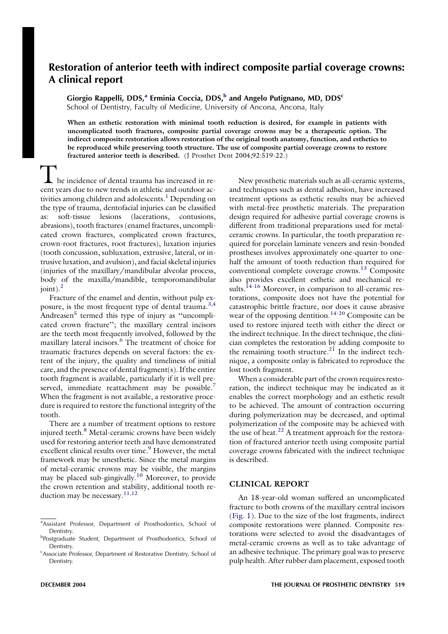# Restoration of anterior teeth with indirect composite partial coverage crowns: A clinical report

Giorgio Rappelli, DDS,<sup>a</sup> Erminia Coccia, DDS,<sup>b</sup> and Angelo Putignano, MD, DDS<sup>c</sup> School of Dentistry, Faculty of Medicine, University of Ancona, Ancona, Italy

When an esthetic restoration with minimal tooth reduction is desired, for example in patients with uncomplicated tooth fractures, composite partial coverage crowns may be a therapeutic option. The indirect composite restoration allows restoration of the original tooth anatomy, function, and esthetics to be reproduced while preserving tooth structure. The use of composite partial coverage crowns to restore fractured anterior teeth is described. (J Prosthet Dent 2004;92:519-22.)

 $\mathsf{\mathsf{L}}$  he incidence of dental trauma has increased in recent years due to new trends in athletic and outdoor activities among children and adolescents.<sup>1</sup> Depending on the type of trauma, dentofacial injuries can be classified as: soft-tissue lesions (lacerations, contusions, abrasions), tooth fractures (enamel fractures, uncomplicated crown fractures, complicated crown fractures, crown-root fractures, root fractures), luxation injuries (tooth concussion, subluxation, extrusive, lateral, or intrusive luxation, and avulsion), and facial skeletal injuries (injuries of the maxillary/mandibular alveolar process, body of the maxilla/mandible, temporomandibular joint). $^{2}$ 

Fracture of the enamel and dentin, without pulp exposure, is the most frequent type of dental trauma.<sup>3,4</sup> Andreasen<sup>5</sup> termed this type of injury as "uncomplicated crown fracture''; the maxillary central incisors are the teeth most frequently involved, followed by the maxillary lateral incisors.<sup>6</sup> The treatment of choice for traumatic fractures depends on several factors: the extent of the injury, the quality and timeliness of initial care, and the presence of dental fragment(s). If the entire tooth fragment is available, particularly if it is well preserved, immediate reattachment may be possible.<sup>7</sup> When the fragment is not available, a restorative procedure is required to restore the functional integrity of the tooth.

There are a number of treatment options to restore injured teeth.<sup>8</sup> Metal-ceramic crowns have been widely used for restoring anterior teeth and have demonstrated excellent clinical results over time.<sup>9</sup> However, the metal framework may be unesthetic. Since the metal margins of metal-ceramic crowns may be visible, the margins may be placed sub-gingivally.<sup>10</sup> Moreover, to provide the crown retention and stability, additional tooth reduction may be necessary.<sup>11,12</sup>

New prosthetic materials such as all-ceramic systems, and techniques such as dental adhesion, have increased treatment options as esthetic results may be achieved with metal-free prosthetic materials. The preparation design required for adhesive partial coverage crowns is different from traditional preparations used for metalceramic crowns. In particular, the tooth preparation required for porcelain laminate veneers and resin-bonded prostheses involves approximately one-quarter to onehalf the amount of tooth reduction than required for conventional complete coverage crowns.<sup>13</sup> Composite also provides excellent esthetic and mechanical results.<sup> $14-16$ </sup> Moreover, in comparison to all-ceramic restorations, composite does not have the potential for catastrophic brittle fracture, nor does it cause abrasive wear of the opposing dentition.<sup>14-20</sup> Composite can be used to restore injured teeth with either the direct or the indirect technique. In the direct technique, the clinician completes the restoration by adding composite to the remaining tooth structure.<sup>21</sup> In the indirect technique, a composite onlay is fabricated to reproduce the lost tooth fragment.

When a considerable part of the crown requires restoration, the indirect technique may be indicated as it enables the correct morphology and an esthetic result to be achieved. The amount of contraction occurring during polymerization may be decreased, and optimal polymerization of the composite may be achieved with the use of heat.<sup>22</sup> A treatment approach for the restoration of fractured anterior teeth using composite partial coverage crowns fabricated with the indirect technique is described.

## CLINICAL REPORT

An 18-year-old woman suffered an uncomplicated fracture to both crowns of the maxillary central incisors (Fig. 1). Due to the size of the lost fragments, indirect composite restorations were planned. Composite restorations were selected to avoid the disadvantages of metal-ceramic crowns as well as to take advantage of an adhesive technique. The primary goal was to preserve pulp health. After rubber dam placement, exposed tooth

a<br>Assistant Professor, Department of Prosthodontics, School of Dentistry.<br><sup>b</sup>Postgraduate Student, Department of Prosthodontics, School of

Dentistry.<br><sup>c</sup>Associate Professor, Department of Restorative Dentistry, School of Dentistry.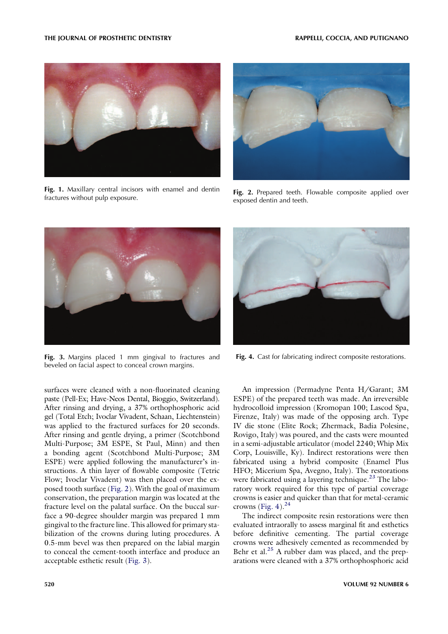#### THE JOURNAL OF PROSTHETIC DENTISTRY RAPPELLI, COCCIA, AND PUTIGNANO



Fig. 1. Maxillary central incisors with enamel and dentin FIG. I. Maxillary central incisors with enamel and dentin<br>fractures without pulp exposure.<br>exposed dentin and teeth. Flowable composite applied over



exposed dentin and teeth.



Fig. 3. Margins placed 1 mm gingival to fractures and beveled on facial aspect to conceal crown margins.

surfaces were cleaned with a non-fluorinated cleaning paste (Pell-Ex; Have-Neos Dental, Bioggio, Switzerland). After rinsing and drying, a 37% orthophosphoric acid gel (Total Etch; Ivoclar Vivadent, Schaan, Liechtenstein) was applied to the fractured surfaces for 20 seconds. After rinsing and gentle drying, a primer (Scotchbond Multi-Purpose; 3M ESPE, St Paul, Minn) and then a bonding agent (Scotchbond Multi-Purpose; 3M ESPE) were applied following the manufacturer's instructions. A thin layer of flowable composite (Tetric Flow; Ivoclar Vivadent) was then placed over the exposed tooth surface (Fig. 2). With the goal of maximum conservation, the preparation margin was located at the fracture level on the palatal surface. On the buccal surface a 90-degree shoulder margin was prepared 1 mm gingival to the fracture line. This allowed for primary stabilization of the crowns during luting procedures. A 0.5-mm bevel was then prepared on the labial margin to conceal the cement-tooth interface and produce an acceptable esthetic result (Fig. 3).



Fig. 4. Cast for fabricating indirect composite restorations.

An impression (Permadyne Penta H/Garant; 3M ESPE) of the prepared teeth was made. An irreversible hydrocolloid impression (Kromopan 100; Lascod Spa, Firenze, Italy) was made of the opposing arch. Type IV die stone (Elite Rock; Zhermack, Badia Polesine, Rovigo, Italy) was poured, and the casts were mounted in a semi-adjustable articulator (model 2240; Whip Mix Corp, Louisville, Ky). Indirect restorations were then fabricated using a hybrid composite (Enamel Plus HFO; Micerium Spa, Avegno, Italy). The restorations were fabricated using a layering technique.<sup>23</sup> The laboratory work required for this type of partial coverage crowns is easier and quicker than that for metal-ceramic crowns (Fig. 4). $^{24}$ 

The indirect composite resin restorations were then evaluated intraorally to assess marginal fit and esthetics before definitive cementing. The partial coverage crowns were adhesively cemented as recommended by Behr et al. $25$  A rubber dam was placed, and the preparations were cleaned with a 37% orthophosphoric acid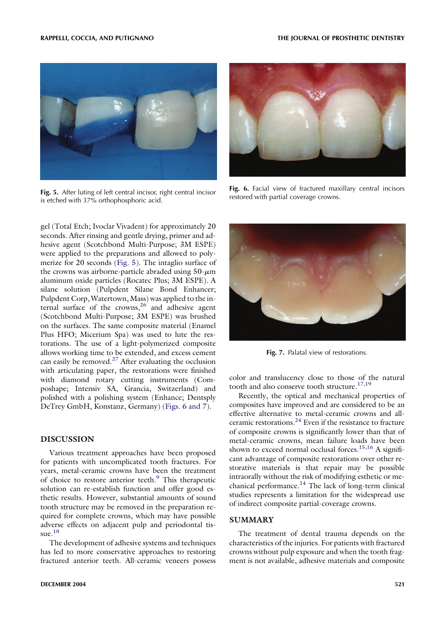

Fig. 5. After luting of left central incisor, right central incisor is etched with 37% orthophosphoric acid.

gel (Total Etch; Ivoclar Vivadent) for approximately 20 seconds. After rinsing and gentle drying, primer and adhesive agent (Scotchbond Multi-Purpose; 3M ESPE) were applied to the preparations and allowed to polymerize for 20 seconds (Fig. 5). The intaglio surface of the crowns was airborne-particle abraded using  $50-\mu m$ aluminum oxide particles (Rocatec Plus; 3M ESPE). A silane solution (Pulpdent Silane Bond Enhancer; Pulpdent Corp, Watertown, Mass) was applied to the internal surface of the crowns,<sup>26</sup> and adhesive agent (Scotchbond Multi-Purpose; 3M ESPE) was brushed on the surfaces. The same composite material (Enamel Plus HFO; Micerium Spa) was used to lute the restorations. The use of a light-polymerized composite allows working time to be extended, and excess cement can easily be removed. $27$  After evaluating the occlusion with articulating paper, the restorations were finished with diamond rotary cutting instruments (Composhape; Intensiv SA, Grancia, Switzerland) and polished with a polishing system (Enhance; Dentsply DeTrey GmbH, Konstanz, Germany) (Figs. 6 and 7).

## DISCUSSION

Various treatment approaches have been proposed for patients with uncomplicated tooth fractures. For years, metal-ceramic crowns have been the treatment of choice to restore anterior teeth.<sup>9</sup> This therapeutic solution can re-establish function and offer good esthetic results. However, substantial amounts of sound tooth structure may be removed in the preparation required for complete crowns, which may have possible adverse effects on adjacent pulp and periodontal tissue. $10$ 

The development of adhesive systems and techniques has led to more conservative approaches to restoring fractured anterior teeth. All-ceramic veneers possess



Fig. 6. Facial view of fractured maxillary central incisors restored with partial coverage crowns.



Fig. 7. Palatal view of restorations.

color and translucency close to those of the natural tooth and also conserve tooth structure.<sup>17,19</sup>

Recently, the optical and mechanical properties of composites have improved and are considered to be an effective alternative to metal-ceramic crowns and allceramic restorations.24 Even if the resistance to fracture of composite crowns is significantly lower than that of metal-ceramic crowns, mean failure loads have been shown to exceed normal occlusal forces.<sup>15,16</sup> A significant advantage of composite restorations over other restorative materials is that repair may be possible intraorally without the risk of modifying esthetic or mechanical performance.<sup>14</sup> The lack of long-term clinical studies represents a limitation for the widespread use of indirect composite partial-coverage crowns.

#### SUMMARY

The treatment of dental trauma depends on the characteristics of the injuries. For patients with fractured crowns without pulp exposure and when the tooth fragment is not available, adhesive materials and composite